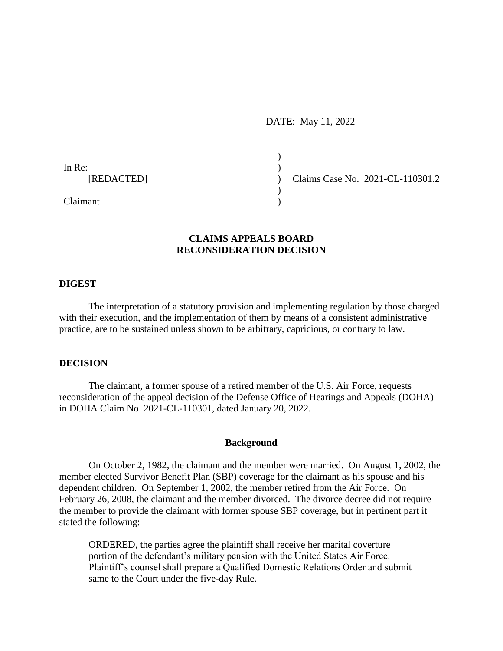DATE: May 11, 2022

)

)

In Re:  $\qquad \qquad$ )

[REDACTED] ) Claims Case No. 2021-CL-110301.2

Claimant )

# **CLAIMS APPEALS BOARD RECONSIDERATION DECISION**

### **DIGEST**

The interpretation of a statutory provision and implementing regulation by those charged with their execution, and the implementation of them by means of a consistent administrative practice, are to be sustained unless shown to be arbitrary, capricious, or contrary to law.

## **DECISION**

The claimant, a former spouse of a retired member of the U.S. Air Force, requests reconsideration of the appeal decision of the Defense Office of Hearings and Appeals (DOHA) in DOHA Claim No. 2021-CL-110301, dated January 20, 2022.

#### **Background**

On October 2, 1982, the claimant and the member were married. On August 1, 2002, the member elected Survivor Benefit Plan (SBP) coverage for the claimant as his spouse and his dependent children. On September 1, 2002, the member retired from the Air Force. On February 26, 2008, the claimant and the member divorced. The divorce decree did not require the member to provide the claimant with former spouse SBP coverage, but in pertinent part it stated the following:

ORDERED, the parties agree the plaintiff shall receive her marital coverture portion of the defendant's military pension with the United States Air Force. Plaintiff's counsel shall prepare a Qualified Domestic Relations Order and submit same to the Court under the five-day Rule.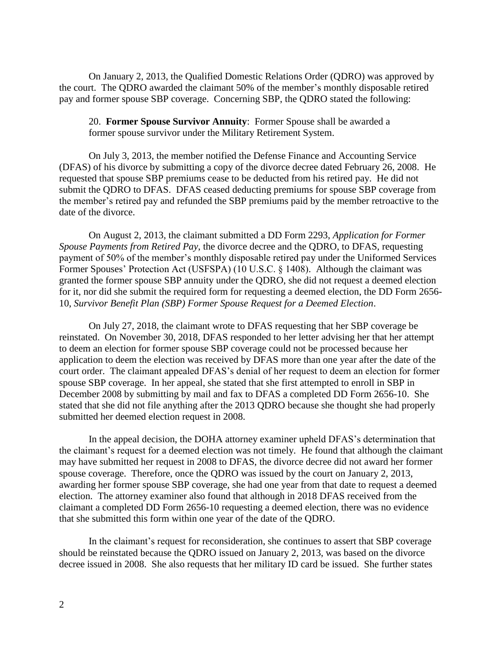On January 2, 2013, the Qualified Domestic Relations Order (QDRO) was approved by the court. The QDRO awarded the claimant 50% of the member's monthly disposable retired pay and former spouse SBP coverage. Concerning SBP, the QDRO stated the following:

20. **Former Spouse Survivor Annuity**: Former Spouse shall be awarded a former spouse survivor under the Military Retirement System.

On July 3, 2013, the member notified the Defense Finance and Accounting Service (DFAS) of his divorce by submitting a copy of the divorce decree dated February 26, 2008. He requested that spouse SBP premiums cease to be deducted from his retired pay. He did not submit the QDRO to DFAS. DFAS ceased deducting premiums for spouse SBP coverage from the member's retired pay and refunded the SBP premiums paid by the member retroactive to the date of the divorce.

On August 2, 2013, the claimant submitted a DD Form 2293, *Application for Former Spouse Payments from Retired Pay*, the divorce decree and the QDRO, to DFAS, requesting payment of 50% of the member's monthly disposable retired pay under the Uniformed Services Former Spouses' Protection Act (USFSPA) (10 U.S.C. § 1408). Although the claimant was granted the former spouse SBP annuity under the QDRO, she did not request a deemed election for it, nor did she submit the required form for requesting a deemed election, the DD Form 2656- 10, *Survivor Benefit Plan (SBP) Former Spouse Request for a Deemed Election*.

On July 27, 2018, the claimant wrote to DFAS requesting that her SBP coverage be reinstated. On November 30, 2018, DFAS responded to her letter advising her that her attempt to deem an election for former spouse SBP coverage could not be processed because her application to deem the election was received by DFAS more than one year after the date of the court order. The claimant appealed DFAS's denial of her request to deem an election for former spouse SBP coverage. In her appeal, she stated that she first attempted to enroll in SBP in December 2008 by submitting by mail and fax to DFAS a completed DD Form 2656-10. She stated that she did not file anything after the 2013 QDRO because she thought she had properly submitted her deemed election request in 2008.

In the appeal decision, the DOHA attorney examiner upheld DFAS's determination that the claimant's request for a deemed election was not timely. He found that although the claimant may have submitted her request in 2008 to DFAS, the divorce decree did not award her former spouse coverage. Therefore, once the QDRO was issued by the court on January 2, 2013, awarding her former spouse SBP coverage, she had one year from that date to request a deemed election. The attorney examiner also found that although in 2018 DFAS received from the claimant a completed DD Form 2656-10 requesting a deemed election, there was no evidence that she submitted this form within one year of the date of the QDRO.

In the claimant's request for reconsideration, she continues to assert that SBP coverage should be reinstated because the QDRO issued on January 2, 2013, was based on the divorce decree issued in 2008. She also requests that her military ID card be issued. She further states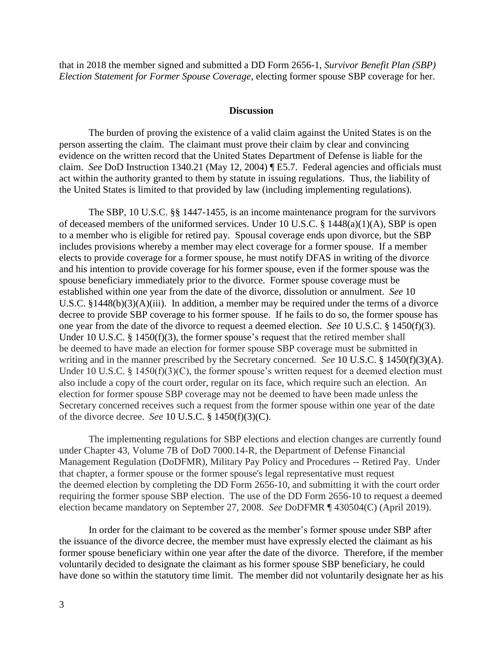that in 2018 the member signed and submitted a DD Form 2656-1, *Survivor Benefit Plan (SBP) Election Statement for Former Spouse Coverage*, electing former spouse SBP coverage for her.

#### **Discussion**

The burden of proving the existence of a valid claim against the United States is on the person asserting the claim. The claimant must prove their claim by clear and convincing evidence on the written record that the United States Department of Defense is liable for the claim. *See* DoD Instruction 1340.21 (May 12, 2004) ¶ E5.7. Federal agencies and officials must act within the authority granted to them by statute in issuing regulations. Thus, the liability of the United States is limited to that provided by law (including implementing regulations).

The SBP, 10 U.S.C. §§ 1447-1455, is an income maintenance program for the survivors of deceased members of the uniformed services. Under 10 U.S.C. § 1448(a)(1)(A), SBP is open to a member who is eligible for retired pay. Spousal coverage ends upon divorce, but the SBP includes provisions whereby a member may elect coverage for a former spouse. If a member elects to provide coverage for a former spouse, he must notify DFAS in writing of the divorce and his intention to provide coverage for his former spouse, even if the former spouse was the spouse beneficiary immediately prior to the divorce. Former spouse coverage must be established within one year from the date of the divorce, dissolution or annulment. *See* 10 U.S.C. §1448(b)(3)(A)(iii). In addition, a member may be required under the terms of a divorce decree to provide SBP coverage to his former spouse. If he fails to do so, the former spouse has one year from the date of the divorce to request a deemed election. *See* 10 U.S.C. § 1450(f)(3). Under 10 U.S.C. § 1450(f)(3), the former spouse's request that the retired member shall be deemed to have made an election for former spouse SBP coverage must be submitted in writing and in the manner prescribed by the Secretary concerned. *See* [10 U.S.C. § 1450\(f\)\(3\)\(A\).](https://1.next.westlaw.com/Link/Document/FullText?findType=L&pubNum=1000546&cite=10USCAS1450&originatingDoc=Ia94e7f9861ff11ebbea4f0dc9fb69570&refType=RB&originationContext=document&transitionType=DocumentItem&ppcid=5fe4ec4eb91f4cb8aab3a56914e4ec63&contextData=(sc.Search)#co_pp_5eee000091eb7) Under 10 U.S.C. § 1450(f)(3)(C), the former spouse's written request for a deemed election must also include a copy of the court order, regular on its face, which require such an election. An election for former spouse SBP coverage may not be deemed to have been made unless the Secretary concerned receives such a request from the former spouse within one year of the date of the divorce decree. *See* [10 U.S.C. § 1450\(f\)\(3\)\(C\).](https://1.next.westlaw.com/Link/Document/FullText?findType=L&pubNum=1000546&cite=10USCAS1450&originatingDoc=Ia94e7f9861ff11ebbea4f0dc9fb69570&refType=RB&originationContext=document&transitionType=DocumentItem&ppcid=5fe4ec4eb91f4cb8aab3a56914e4ec63&contextData=(sc.Search)#co_pp_469a00008b0e0)

The implementing regulations for SBP elections and election changes are currently found under Chapter 43, Volume 7B of DoD 7000.14-R, the Department of Defense Financial Management Regulation (DoDFMR), Military Pay Policy and Procedures -- Retired Pay. Under that chapter, a former spouse or the former spouse's legal representative must request the deemed election by completing the DD Form 2656-10, and submitting it with the court order requiring the former spouse SBP election. The use of the DD Form 2656-10 to request a deemed election became mandatory on September 27, 2008. *See* DoDFMR ¶ 430504(C) (April 2019).

In order for the claimant to be covered as the member's former spouse under SBP after the issuance of the divorce decree, the member must have expressly elected the claimant as his former spouse beneficiary within one year after the date of the divorce. Therefore, if the member voluntarily decided to designate the claimant as his former spouse SBP beneficiary, he could have done so within the statutory time limit. The member did not voluntarily designate her as his